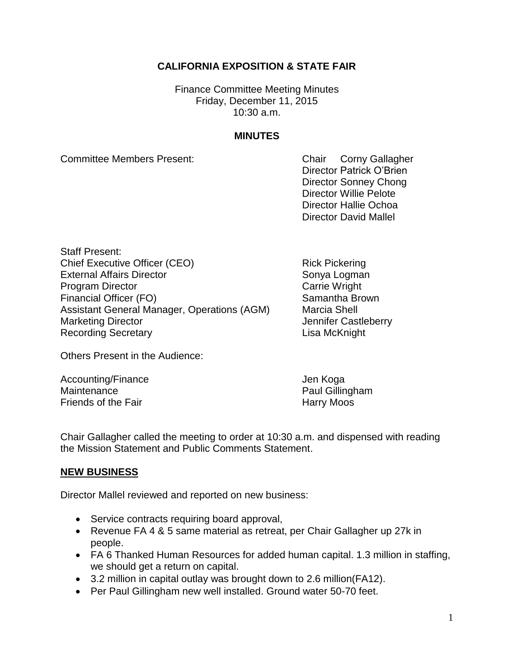## **CALIFORNIA EXPOSITION & STATE FAIR**

Finance Committee Meeting Minutes Friday, December 11, 2015 10:30 a.m.

### **MINUTES**

Committee Members Present: Committee Members Present:

Director Patrick O'Brien Director Sonney Chong Director Willie Pelote Director Hallie Ochoa Director David Mallel

Staff Present: Chief Executive Officer (CEO) Rick Pickering External Affairs Director Sonya Logman Program Director **Carrie Wright** Carrie Wright Financial Officer (FO) Samantha Brown Assistant General Manager, Operations (AGM) Marcia Shell Marketing Director **Marketing Director** And Tennifer Castleberry Recording Secretary **Lisa McKnight** 

Others Present in the Audience:

Accounting/Finance Jen Koga Maintenance **Paul Gillingham** Friends of the Fair **Harry Moos** 

Chair Gallagher called the meeting to order at 10:30 a.m. and dispensed with reading the Mission Statement and Public Comments Statement.

### **NEW BUSINESS**

Director Mallel reviewed and reported on new business:

- Service contracts requiring board approval,
- Revenue FA 4 & 5 same material as retreat, per Chair Gallagher up 27k in people.
- FA 6 Thanked Human Resources for added human capital. 1.3 million in staffing, we should get a return on capital.
- 3.2 million in capital outlay was brought down to 2.6 million(FA12).
- Per Paul Gillingham new well installed. Ground water 50-70 feet.